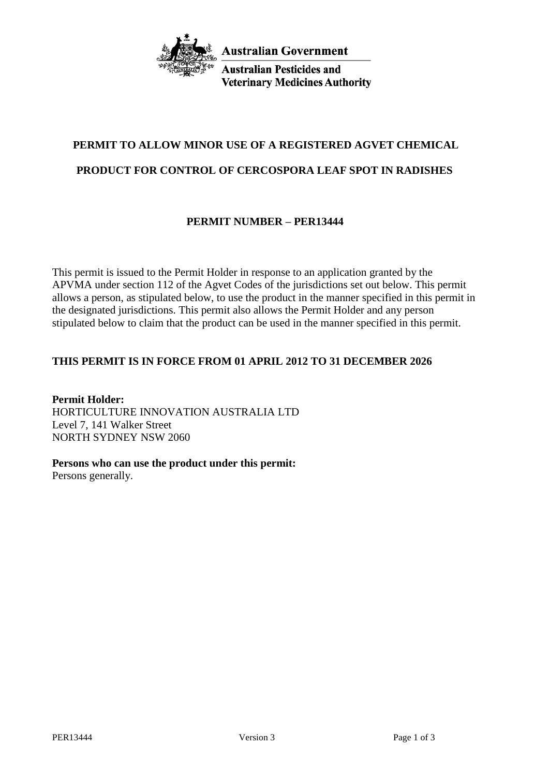

**Australian Pesticides and Veterinary Medicines Authority** 

# **PERMIT TO ALLOW MINOR USE OF A REGISTERED AGVET CHEMICAL**

## **PRODUCT FOR CONTROL OF CERCOSPORA LEAF SPOT IN RADISHES**

## **PERMIT NUMBER – PER13444**

This permit is issued to the Permit Holder in response to an application granted by the APVMA under section 112 of the Agvet Codes of the jurisdictions set out below. This permit allows a person, as stipulated below, to use the product in the manner specified in this permit in the designated jurisdictions. This permit also allows the Permit Holder and any person stipulated below to claim that the product can be used in the manner specified in this permit.

## **THIS PERMIT IS IN FORCE FROM 01 APRIL 2012 TO 31 DECEMBER 2026**

**Permit Holder:** HORTICULTURE INNOVATION AUSTRALIA LTD Level 7, 141 Walker Street NORTH SYDNEY NSW 2060

**Persons who can use the product under this permit:**

Persons generally.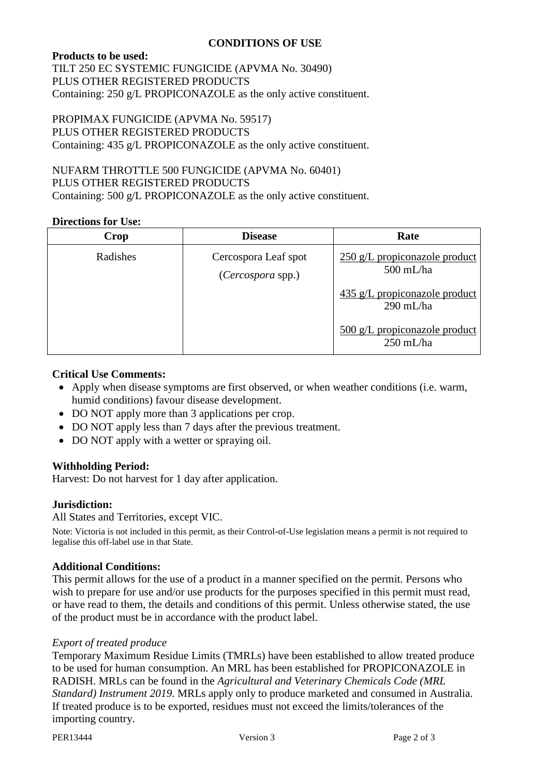### **CONDITIONS OF USE**

#### **Products to be used:**

TILT 250 EC SYSTEMIC FUNGICIDE (APVMA No. 30490) PLUS OTHER REGISTERED PRODUCTS Containing: 250 g/L PROPICONAZOLE as the only active constituent.

PROPIMAX FUNGICIDE (APVMA No. 59517) PLUS OTHER REGISTERED PRODUCTS Containing: 435 g/L PROPICONAZOLE as the only active constituent.

NUFARM THROTTLE 500 FUNGICIDE (APVMA No. 60401) PLUS OTHER REGISTERED PRODUCTS Containing: 500 g/L PROPICONAZOLE as the only active constituent.

#### **Directions for Use:**

| Crop     | <b>Disease</b>                            | Rate                                                           |
|----------|-------------------------------------------|----------------------------------------------------------------|
| Radishes | Cercospora Leaf spot<br>(Cercospora spp.) | 250 g/L propiconazole product<br>$500$ mL/ha                   |
|          |                                           | $435$ g/L propiconazole product<br>$290$ mL/ha                 |
|          |                                           | $\frac{500 \text{ g}}{L}$ propiconazole product<br>$250$ mL/ha |

#### **Critical Use Comments:**

- Apply when disease symptoms are first observed, or when weather conditions (i.e. warm, humid conditions) favour disease development.
- DO NOT apply more than 3 applications per crop.
- DO NOT apply less than 7 days after the previous treatment.
- DO NOT apply with a wetter or spraying oil.

#### **Withholding Period:**

Harvest: Do not harvest for 1 day after application.

#### **Jurisdiction:**

#### All States and Territories, except VIC.

Note: Victoria is not included in this permit, as their Control-of-Use legislation means a permit is not required to legalise this off-label use in that State.

#### **Additional Conditions:**

This permit allows for the use of a product in a manner specified on the permit. Persons who wish to prepare for use and/or use products for the purposes specified in this permit must read, or have read to them, the details and conditions of this permit. Unless otherwise stated, the use of the product must be in accordance with the product label.

#### *Export of treated produce*

Temporary Maximum Residue Limits (TMRLs) have been established to allow treated produce to be used for human consumption. An MRL has been established for PROPICONAZOLE in RADISH. MRLs can be found in the *Agricultural and Veterinary Chemicals Code (MRL Standard) Instrument 2019*. MRLs apply only to produce marketed and consumed in Australia. If treated produce is to be exported, residues must not exceed the limits/tolerances of the importing country.